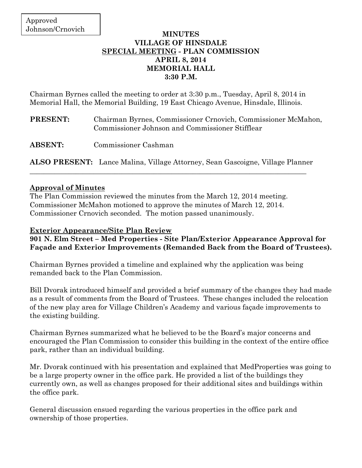### **MINUTES VILLAGE OF HINSDALE SPECIAL MEETING - PLAN COMMISSION APRIL 8, 2014 MEMORIAL HALL 3:30 P.M.**

Chairman Byrnes called the meeting to order at 3:30 p.m., Tuesday, April 8, 2014 in Memorial Hall, the Memorial Building, 19 East Chicago Avenue, Hinsdale, Illinois.

- **PRESENT:** Chairman Byrnes, Commissioner Crnovich, Commissioner McMahon, Commissioner Johnson and Commissioner Stifflear
- **ABSENT:** Commissioner Cashman

**ALSO PRESENT:** Lance Malina, Village Attorney, Sean Gascoigne, Village Planner \_\_\_\_\_\_\_\_\_\_\_\_\_\_\_\_\_\_\_\_\_\_\_\_\_\_\_\_\_\_\_\_\_\_\_\_\_\_\_\_\_\_\_\_\_\_\_\_\_\_\_\_\_\_\_\_\_\_\_\_\_\_\_\_\_\_\_\_\_\_\_\_\_\_\_\_\_\_

## **Approval of Minutes**

The Plan Commission reviewed the minutes from the March 12, 2014 meeting. Commissioner McMahon motioned to approve the minutes of March 12, 2014. Commissioner Crnovich seconded. The motion passed unanimously.

## **Exterior Appearance/Site Plan Review**

**901 N. Elm Street – Med Properties - Site Plan/Exterior Appearance Approval for Façade and Exterior Improvements (Remanded Back from the Board of Trustees).** 

Chairman Byrnes provided a timeline and explained why the application was being remanded back to the Plan Commission.

Bill Dvorak introduced himself and provided a brief summary of the changes they had made as a result of comments from the Board of Trustees. These changes included the relocation of the new play area for Village Children's Academy and various façade improvements to the existing building.

Chairman Byrnes summarized what he believed to be the Board's major concerns and encouraged the Plan Commission to consider this building in the context of the entire office park, rather than an individual building.

Mr. Dvorak continued with his presentation and explained that MedProperties was going to be a large property owner in the office park. He provided a list of the buildings they currently own, as well as changes proposed for their additional sites and buildings within the office park.

General discussion ensued regarding the various properties in the office park and ownership of those properties.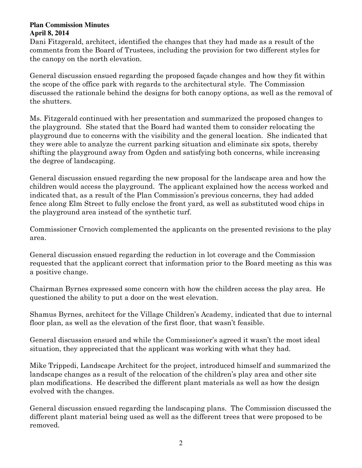Dani Fitzgerald, architect, identified the changes that they had made as a result of the comments from the Board of Trustees, including the provision for two different styles for the canopy on the north elevation.

General discussion ensued regarding the proposed façade changes and how they fit within the scope of the office park with regards to the architectural style. The Commission discussed the rationale behind the designs for both canopy options, as well as the removal of the shutters.

Ms. Fitzgerald continued with her presentation and summarized the proposed changes to the playground. She stated that the Board had wanted them to consider relocating the playground due to concerns with the visibility and the general location. She indicated that they were able to analyze the current parking situation and eliminate six spots, thereby shifting the playground away from Ogden and satisfying both concerns, while increasing the degree of landscaping.

General discussion ensued regarding the new proposal for the landscape area and how the children would access the playground. The applicant explained how the access worked and indicated that, as a result of the Plan Commission's previous concerns, they had added fence along Elm Street to fully enclose the front yard, as well as substituted wood chips in the playground area instead of the synthetic turf.

Commissioner Crnovich complemented the applicants on the presented revisions to the play area.

General discussion ensued regarding the reduction in lot coverage and the Commission requested that the applicant correct that information prior to the Board meeting as this was a positive change.

Chairman Byrnes expressed some concern with how the children access the play area. He questioned the ability to put a door on the west elevation.

Shamus Byrnes, architect for the Village Children's Academy, indicated that due to internal floor plan, as well as the elevation of the first floor, that wasn't feasible.

General discussion ensued and while the Commissioner's agreed it wasn't the most ideal situation, they appreciated that the applicant was working with what they had.

Mike Trippedi, Landscape Architect for the project, introduced himself and summarized the landscape changes as a result of the relocation of the children's play area and other site plan modifications. He described the different plant materials as well as how the design evolved with the changes.

General discussion ensued regarding the landscaping plans. The Commission discussed the different plant material being used as well as the different trees that were proposed to be removed.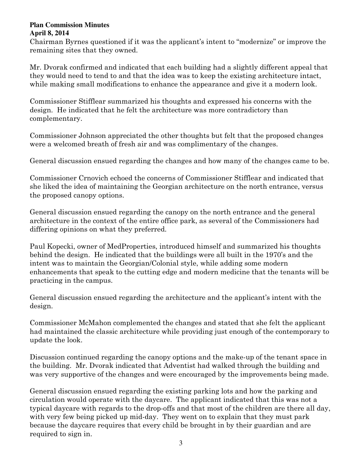Chairman Byrnes questioned if it was the applicant's intent to "modernize" or improve the remaining sites that they owned.

Mr. Dvorak confirmed and indicated that each building had a slightly different appeal that they would need to tend to and that the idea was to keep the existing architecture intact, while making small modifications to enhance the appearance and give it a modern look.

Commissioner Stifflear summarized his thoughts and expressed his concerns with the design. He indicated that he felt the architecture was more contradictory than complementary.

Commissioner Johnson appreciated the other thoughts but felt that the proposed changes were a welcomed breath of fresh air and was complimentary of the changes.

General discussion ensued regarding the changes and how many of the changes came to be.

Commissioner Crnovich echoed the concerns of Commissioner Stifflear and indicated that she liked the idea of maintaining the Georgian architecture on the north entrance, versus the proposed canopy options.

General discussion ensued regarding the canopy on the north entrance and the general architecture in the context of the entire office park, as several of the Commissioners had differing opinions on what they preferred.

Paul Kopecki, owner of MedProperties, introduced himself and summarized his thoughts behind the design. He indicated that the buildings were all built in the 1970's and the intent was to maintain the Georgian/Colonial style, while adding some modern enhancements that speak to the cutting edge and modern medicine that the tenants will be practicing in the campus.

General discussion ensued regarding the architecture and the applicant's intent with the design.

Commissioner McMahon complemented the changes and stated that she felt the applicant had maintained the classic architecture while providing just enough of the contemporary to update the look.

Discussion continued regarding the canopy options and the make-up of the tenant space in the building. Mr. Dvorak indicated that Adventist had walked through the building and was very supportive of the changes and were encouraged by the improvements being made.

General discussion ensued regarding the existing parking lots and how the parking and circulation would operate with the daycare. The applicant indicated that this was not a typical daycare with regards to the drop-offs and that most of the children are there all day, with very few being picked up mid-day. They went on to explain that they must park because the daycare requires that every child be brought in by their guardian and are required to sign in.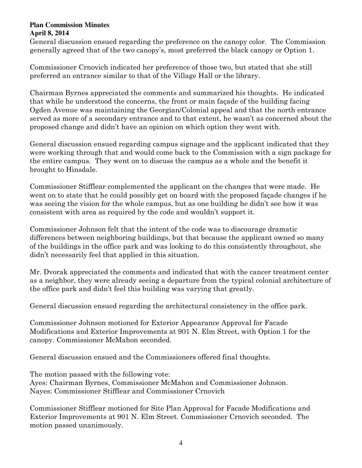General discussion ensued regarding the preference on the canopy color. The Commission generally agreed that of the two canopy's, most preferred the black canopy or Option 1.

Commissioner Crnovich indicated her preference of those two, but stated that she still preferred an entrance similar to that of the Village Hall or the library.

Chairman Byrnes appreciated the comments and summarized his thoughts. He indicated that while he understood the concerns, the front or main façade of the building facing Ogden Avenue was maintaining the Georgian/Colonial appeal and that the north entrance served as more of a secondary entrance and to that extent, he wasn't as concerned about the proposed change and didn't have an opinion on which option they went with.

General discussion ensued regarding campus signage and the applicant indicated that they were working through that and would come back to the Commission with a sign package for the entire campus. They went on to discuss the campus as a whole and the benefit it brought to Hinsdale.

Commissioner Stifflear complemented the applicant on the changes that were made. He went on to state that he could possibly get on board with the proposed façade changes if he was seeing the vision for the whole campus, but as one building he didn't see how it was consistent with area as required by the code and wouldn't support it.

Commissioner Johnson felt that the intent of the code was to discourage dramatic differences between neighboring buildings, but that because the applicant owned so many of the buildings in the office park and was looking to do this consistently throughout, she didn't necessarily feel that applied in this situation.

Mr. Dvorak appreciated the comments and indicated that with the cancer treatment center as a neighbor, they were already seeing a departure from the typical colonial architecture of the office park and didn't feel this building was varying that greatly.

General discussion ensued regarding the architectural consistency in the office park.

Commissioner Johnson motioned for Exterior Appearance Approval for Facade Modifications and Exterior Improvements at 901 N. Elm Street, with Option 1 for the canopy. Commissioner McMahon seconded.

General discussion ensued and the Commissioners offered final thoughts.

The motion passed with the following vote: Ayes: Chairman Byrnes, Commissioner McMahon and Commissioner Johnson. Nayes: Commissioner Stifflear and Commissioner Crnovich

Commissioner Stifflear motioned for Site Plan Approval for Facade Modifications and Exterior Improvements at 901 N. Elm Street. Commissioner Crnovich seconded. The motion passed unanimously.